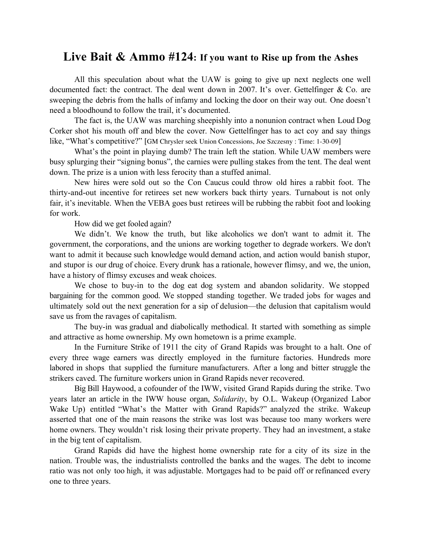## **Live Bait & Ammo #124: If you want to Rise up from the Ashes**

All this speculation about what the UAW is going to give up next neglects one well documented fact: the contract. The deal went down in 2007. It's over. Gettelfinger & Co. are sweeping the debris from the halls of infamy and locking the door on their way out. One doesn't need a bloodhound to follow the trail, it's documented.

The fact is, the UAW was marching sheepishly into a nonunion contract when Loud Dog Corker shot his mouth off and blew the cover. Now Gettelfinger has to act coy and say things like, "What's competitive?" [GM Chrysler seek Union Concessions, Joe Szczesny : Time: 1-30-09]

What's the point in playing dumb? The train left the station. While UAW members were busy splurging their "signing bonus", the carnies were pulling stakes from the tent. The deal went down. The prize is a union with less ferocity than a stuffed animal.

New hires were sold out so the Con Caucus could throw old hires a rabbit foot. The thirty-and-out incentive for retirees set new workers back thirty years. Turnabout is not only fair, it's inevitable. When the VEBA goes bust retirees will be rubbing the rabbit foot and looking for work.

How did we get fooled again?

We didn't. We know the truth, but like alcoholics we don't want to admit it. The government, the corporations, and the unions are working together to degrade workers. We don't want to admit it because such knowledge would demand action, and action would banish stupor, and stupor is our drug of choice. Every drunk has a rationale, however flimsy, and we, the union, have a history of flimsy excuses and weak choices.

We chose to buy-in to the dog eat dog system and abandon solidarity. We stopped bargaining for the common good. We stopped standing together. We traded jobs for wages and ultimately sold out the next generation for a sip of delusion—the delusion that capitalism would save us from the ravages of capitalism.

The buy-in was gradual and diabolically methodical. It started with something as simple and attractive as home ownership. My own hometown is a prime example.

In the Furniture Strike of 1911 the city of Grand Rapids was brought to a halt. One of every three wage earners was directly employed in the furniture factories. Hundreds more labored in shops that supplied the furniture manufacturers. After a long and bitter struggle the strikers caved. The furniture workers union in Grand Rapids never recovered.

Big Bill Haywood, a cofounder of the IWW, visited Grand Rapids during the strike. Two years later an article in the IWW house organ, *Solidarity*, by O.L. Wakeup (Organized Labor Wake Up) entitled "What's the Matter with Grand Rapids?" analyzed the strike. Wakeup asserted that one of the main reasons the strike was lost was because too many workers were home owners. They wouldn't risk losing their private property. They had an investment, a stake in the big tent of capitalism.

Grand Rapids did have the highest home ownership rate for a city of its size in the nation. Trouble was, the industrialists controlled the banks and the wages. The debt to income ratio was not only too high, it was adjustable. Mortgages had to be paid off or refinanced every one to three years.